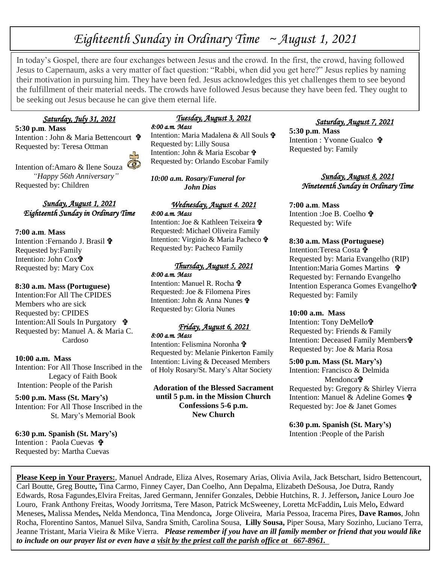# *Eighteenth Sunday in Ordinary Time ~ August 1, 2021*

In today's Gospel, there are four exchanges between Jesus and the crowd. In the first, the crowd, having followed Jesus to Capernaum, asks a very matter of fact question: "Rabbi, when did you get here?" Jesus replies by naming their motivation in pursuing him. They have been fed. Jesus acknowledges this yet challenges them to see beyond the fulfillment of their material needs. The crowds have followed Jesus because they have been fed. They ought to be seeking out Jesus because he can give them eternal life.

## *Saturday, July 31, 2021*

**5:30 p.m**. **Mass** Intention : John & Maria Bettencourt 宁 Requested by: Teresa Ottman



Intention of:Amaro & Ilene Souza  *"Happy 56th Anniversary"* Requested by: Children

#### *Sunday, August 1, 2021 Eighteenth Sunday in Ordinary Time*

#### **7:00 a.m**. **Mass**

Intention : Fernando J. Brasil + Requested by:Family Intention: John Cox Requested by: Mary Cox

#### **8:30 a.m. Mass (Portuguese)**

Intention:For All The CPIDES Members who are sick Requested by: CPIDES Intention:All Souls In Purgatory Requested by: Manuel A. & Maria C. Cardoso

#### **10:00 a.m. Mass**

Intention: For All Those Inscribed in the Legacy of Faith Book Intention: People of the Parish

## **5:00 p.m. Mass (St. Mary's)**

Intention: For All Those Inscribed in the St. Mary's Memorial Book

**6:30 p.m. Spanish (St. Mary's)** Intention : Paola Cuevas **t** Requested by: Martha Cuevas

## *Tuesday, August 3, 2021*

*8:00 a.m. Mass*  Intention: Maria Madalena & All Souls **t** Requested by: Lilly Sousa Intention: John & Maria Escobar Requested by: Orlando Escobar Family

*10:00 a.m. Rosary/Funeral for John Dias* 

#### *Wednesday, August 4. 2021 8:00 a.m. Mass*

Intention: Joe & Kathleen Teixeira Requested: Michael Oliveira Family Intention: Virginio & Maria Pacheco Requested by: Pacheco Family

#### *Thursday, August 5, 2021 8:00 a.m. Mass*

Intention: Manuel R. Rocha Requested: Joe & Filomena Pires Intention: John & Anna Nunes Requested by: Gloria Nunes

#### *Friday, August 6, 2021 8:00 a.m. Mass*

Intention: Felismina Noronha Requested by: Melanie Pinkerton Family Intention: Living & Deceased Members of Holy Rosary/St. Mary's Altar Society

**Adoration of the Blessed Sacrament until 5 p.m. in the Mission Church Confessions 5-6 p.m. New Church**

## *Saturday, August 7, 2021*

**5:30 p.m**. **Mass** Intention : Yvonne Gualco Requested by: Family

#### *Sunday, August 8, 2021 Nineteenth Sunday in Ordinary Time*

#### **7:00 a.m**. **Mass**

Intention :Joe B. Coelho Requested by: Wife

#### **8:30 a.m. Mass (Portuguese)**

Intention:Teresa Costa Requested by: Maria Evangelho (RIP) Intention:Maria Gomes Martins Requested by: Fernando Evangelho Intention Esperanca Gomes Evangelho Requested by: Family

#### **10:00 a.m. Mass**

Intention: Tony DeMello Requested by: Friends & Family Intention: Deceased Family Members Requested by: Joe & Maria Rosa

#### **5:00 p.m. Mass (St. Mary's)**

Intention: Francisco & Delmida Mendonca<sup>t</sup> Requested by: Gregory & Shirley Vierra

Intention: Manuel & Adeline Gomes Requested by: Joe & Janet Gomes

**6:30 p.m. Spanish (St. Mary's)** Intention :People of the Parish

**Please Keep in Your Prayers:**, Manuel Andrade, Eliza Alves, Rosemary Arias, Olivia Avila, Jack Betschart, Isidro Bettencourt, Carl Boutte, Greg Boutte**,** Tina Carmo, Finney Cayer, Dan Coelho, Ann Depalma, Elizabeth DeSousa, Joe Dutra, Randy Edwards, Rosa Fagundes,Elvira Freitas, Jared Germann, Jennifer Gonzales, Debbie Hutchins, R. J. Jefferson**,** Janice Louro Joe Louro, Frank Anthony Freitas, Woody Jorritsma, Tere Mason, Patrick McSweeney, Loretta McFaddin**,** Luis Melo**,** Edward Meneses**,** Malissa Mendes**,** Nelda Mendonca, Tina Mendonca**,** Jorge Oliveira, Maria Pessoa, Iracema Pires, **Dave Ramos**, John Rocha, Florentino Santos, Manuel Silva, Sandra Smith, Carolina Sousa, **Lilly Sousa,** Piper Sousa, Mary Sozinho, Luciano Terra, Jeanne Tristant, Maria Vieira & Mike Vierra. *Please remember if you have an ill family member or friend that you would like to include on our prayer list or even have a visit by the priest call the parish office at 667-8961.*